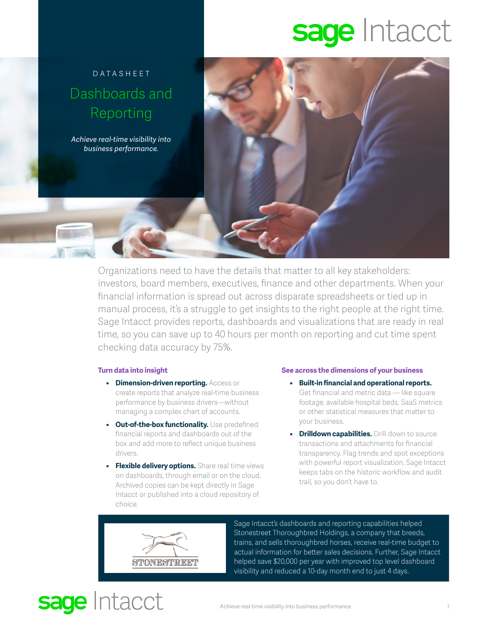# sage Intacct



Organizations need to have the details that matter to all key stakeholders: investors, board members, executives, finance and other departments. When your financial information is spread out across disparate spreadsheets or tied up in manual process, it's a struggle to get insights to the right people at the right time. Sage Intacct provides reports, dashboards and visualizations that are ready in real time, so you can save up to 40 hours per month on reporting and cut time spent checking data accuracy by 75%.

### **Turn data into insight**

- **• Dimension-driven reporting.** Access or create reports that analyze real-time business performance by business drivers—without managing a complex chart of accounts.
- **• Out-of-the-box functionality.** Use predefined financial reports and dashboards out of the box and add more to reflect unique business drivers.
- **• Flexible delivery options.** Share real time views on dashboards, through email or on the cloud. Archived copies can be kept directly in Sage Intacct or published into a cloud repository of choice.

### **See across the dimensions of your business**

- **• Built-in financial and operational reports.** Get financial and metric data — like square footage, available hospital beds, SaaS metrics or other statistical measures that matter to your business.
- **• Drilldown capabilities.** Drill down to source transactions and attachments for financial transparency. Flag trends and spot exceptions with powerful report visualization. Sage Intacct keeps tabs on the historic workflow and audit trail, so you don't have to.



sage Intacct

Sage Intacct's dashboards and reporting capabilities helped Stonestreet Thoroughbred Holdings, a company that breeds, trains, and sells thoroughbred horses, receive real-time budget to actual information for better sales decisions. Further, Sage Intacct helped save \$20,000 per year with improved top level dashboard visibility and reduced a 10-day month end to just 4 days.